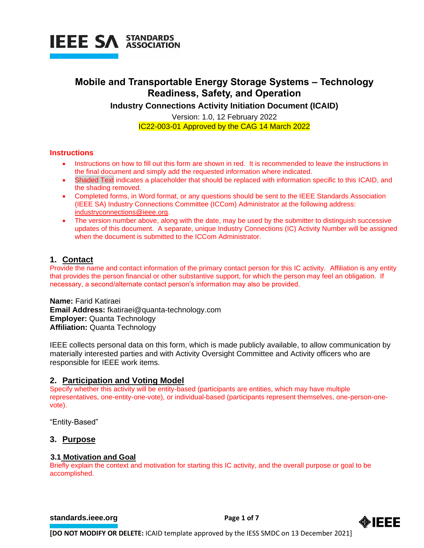

## **Mobile and Transportable Energy Storage Systems – Technology Readiness, Safety, and Operation**

**Industry Connections Activity Initiation Document (ICAID)**

Version: 1.0, 12 February 2022 IC22-003-01 Approved by the CAG 14 March 2022

## **Instructions**

- Instructions on how to fill out this form are shown in red. It is recommended to leave the instructions in the final document and simply add the requested information where indicated.
- Shaded Text indicates a placeholder that should be replaced with information specific to this ICAID, and the shading removed.
- Completed forms, in Word format, or any questions should be sent to the IEEE Standards Association (IEEE SA) Industry Connections Committee (ICCom) Administrator at the following address: [industryconnections@ieee.org.](mailto:industryconnections@ieee.org)
- The version number above, along with the date, may be used by the submitter to distinguish successive updates of this document. A separate, unique Industry Connections (IC) Activity Number will be assigned when the document is submitted to the ICCom Administrator.

## **1. Contact**

Provide the name and contact information of the primary contact person for this IC activity. Affiliation is any entity that provides the person financial or other substantive support, for which the person may feel an obligation. If necessary, a second/alternate contact person's information may also be provided.

**Name:** Farid Katiraei **Email Address:** fkatiraei@quanta-technology.com **Employer:** Quanta Technology **Affiliation:** Quanta Technology

IEEE collects personal data on this form, which is made publicly available, to allow communication by materially interested parties and with Activity Oversight Committee and Activity officers who are responsible for IEEE work items.

## **2. Participation and Voting Model**

Specify whether this activity will be entity-based (participants are entities, which may have multiple representatives, one-entity-one-vote), or individual-based (participants represent themselves, one-person-onevote).

"Entity-Based"

## **3. Purpose**

#### **3.1 Motivation and Goal**

Briefly explain the context and motivation for starting this IC activity, and the overall purpose or goal to be accomplished.

#### **[standards.ieee.org](http://standards.ieee.org/) EXECUTE: Page 1 of 7**

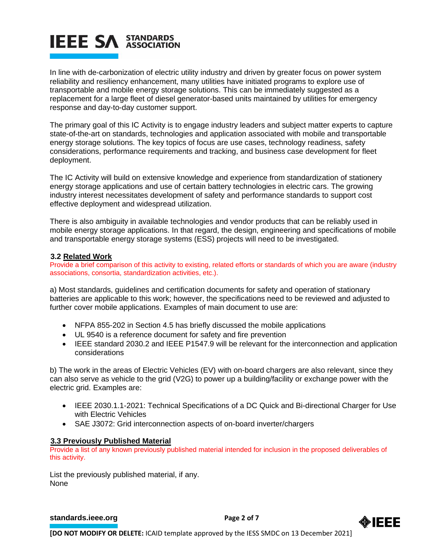## **IEEE SA STANDARDS**

In line with de-carbonization of electric utility industry and driven by greater focus on power system reliability and resiliency enhancement, many utilities have initiated programs to explore use of transportable and mobile energy storage solutions. This can be immediately suggested as a replacement for a large fleet of diesel generator-based units maintained by utilities for emergency response and day-to-day customer support.

The primary goal of this IC Activity is to engage industry leaders and subject matter experts to capture state-of-the-art on standards, technologies and application associated with mobile and transportable energy storage solutions. The key topics of focus are use cases, technology readiness, safety considerations, performance requirements and tracking, and business case development for fleet deployment.

The IC Activity will build on extensive knowledge and experience from standardization of stationery energy storage applications and use of certain battery technologies in electric cars. The growing industry interest necessitates development of safety and performance standards to support cost effective deployment and widespread utilization.

There is also ambiguity in available technologies and vendor products that can be reliably used in mobile energy storage applications. In that regard, the design, engineering and specifications of mobile and transportable energy storage systems (ESS) projects will need to be investigated.

## **3.2 Related Work**

Provide a brief comparison of this activity to existing, related efforts or standards of which you are aware (industry associations, consortia, standardization activities, etc.).

a) Most standards, guidelines and certification documents for safety and operation of stationary batteries are applicable to this work; however, the specifications need to be reviewed and adjusted to further cover mobile applications. Examples of main document to use are:

- NFPA 855-202 in Section 4.5 has briefly discussed the mobile applications
- UL 9540 is a reference document for safety and fire prevention
- IEEE standard 2030.2 and IEEE P1547.9 will be relevant for the interconnection and application considerations

b) The work in the areas of Electric Vehicles (EV) with on-board chargers are also relevant, since they can also serve as vehicle to the grid (V2G) to power up a building/facility or exchange power with the electric grid. Examples are:

- IEEE 2030.1.1-2021: Technical Specifications of a DC Quick and Bi-directional Charger for Use with Electric Vehicles
- SAE J3072: Grid interconnection aspects of on-board inverter/chargers

## **3.3 Previously Published Material**

Provide a list of any known previously published material intended for inclusion in the proposed deliverables of this activity.

List the previously published material, if any. None

## **[standards.ieee.org](http://standards.ieee.org/)**<br> **Page 2 of 7**

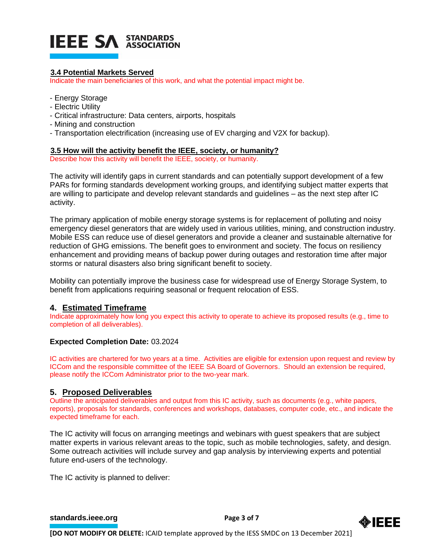# **IEEE SA STANDARDS**

## **3.4 Potential Markets Served**

Indicate the main beneficiaries of this work, and what the potential impact might be.

- Energy Storage
- Electric Utility
- Critical infrastructure: Data centers, airports, hospitals
- Mining and construction
- Transportation electrification (increasing use of EV charging and V2X for backup).

## **3.5 How will the activity benefit the IEEE, society, or humanity?**

Describe how this activity will benefit the IEEE, society, or humanity.

The activity will identify gaps in current standards and can potentially support development of a few PARs for forming standards development working groups, and identifying subject matter experts that are willing to participate and develop relevant standards and guidelines – as the next step after IC activity.

The primary application of mobile energy storage systems is for replacement of polluting and noisy emergency diesel generators that are widely used in various utilities, mining, and construction industry. Mobile ESS can reduce use of diesel generators and provide a cleaner and sustainable alternative for reduction of GHG emissions. The benefit goes to environment and society. The focus on resiliency enhancement and providing means of backup power during outages and restoration time after major storms or natural disasters also bring significant benefit to society.

Mobility can potentially improve the business case for widespread use of Energy Storage System, to benefit from applications requiring seasonal or frequent relocation of ESS.

## **4. Estimated Timeframe**

Indicate approximately how long you expect this activity to operate to achieve its proposed results (e.g., time to completion of all deliverables).

## **Expected Completion Date:** 03.2024

IC activities are chartered for two years at a time. Activities are eligible for extension upon request and review by ICCom and the responsible committee of the IEEE SA Board of Governors. Should an extension be required, please notify the ICCom Administrator prior to the two-year mark.

## **5. Proposed Deliverables**

Outline the anticipated deliverables and output from this IC activity, such as documents (e.g., white papers, reports), proposals for standards, conferences and workshops, databases, computer code, etc., and indicate the expected timeframe for each.

The IC activity will focus on arranging meetings and webinars with guest speakers that are subject matter experts in various relevant areas to the topic, such as mobile technologies, safety, and design. Some outreach activities will include survey and gap analysis by interviewing experts and potential future end-users of the technology.

The IC activity is planned to deliver:

**[standards.ieee.org](http://standards.ieee.org/) EXECUTE: Page 3 of 7** 

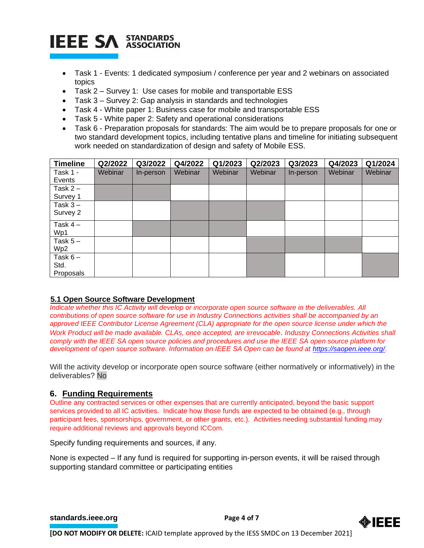

- Task 1 Events: 1 dedicated symposium / conference per year and 2 webinars on associated topics
- Task 2 Survey 1: Use cases for mobile and transportable ESS
- Task 3 Survey 2: Gap analysis in standards and technologies
- Task 4 White paper 1: Business case for mobile and transportable ESS
- Task 5 White paper 2: Safety and operational considerations
- Task 6 Preparation proposals for standards: The aim would be to prepare proposals for one or two standard development topics, including tentative plans and timeline for initiating subsequent work needed on standardization of design and safety of Mobile ESS.

| <b>Timeline</b> | Q2/2022 | Q3/2022   | Q4/2022 | Q1/2023 | Q2/2023 | Q3/2023   | Q4/2023 | Q1/2024        |
|-----------------|---------|-----------|---------|---------|---------|-----------|---------|----------------|
| Task 1 -        | Webinar | In-person | Webinar | Webinar | Webinar | In-person | Webinar | <b>Webinar</b> |
| Events          |         |           |         |         |         |           |         |                |
| Task $2 -$      |         |           |         |         |         |           |         |                |
| Survey 1        |         |           |         |         |         |           |         |                |
| Task $3 -$      |         |           |         |         |         |           |         |                |
| Survey 2        |         |           |         |         |         |           |         |                |
| Task $4-$       |         |           |         |         |         |           |         |                |
| Wp1             |         |           |         |         |         |           |         |                |
| Task $5-$       |         |           |         |         |         |           |         |                |
| Wp2             |         |           |         |         |         |           |         |                |
| Task $6-$       |         |           |         |         |         |           |         |                |
| Std.            |         |           |         |         |         |           |         |                |
| Proposals       |         |           |         |         |         |           |         |                |

## **5.1 Open Source Software Development**

*Indicate whether this IC Activity will develop or incorporate open source software in the deliverables. All contributions of open source software for use in Industry Connections activities shall be accompanied by an approved IEEE Contributor License Agreement (CLA) appropriate for the open source license under which the Work Product will be made available. CLAs, once accepted, are irrevocable. Industry Connections Activities shall comply with the IEEE SA open source policies and procedures and use the IEEE SA open source platform for development of open source software. Information on IEEE SA Open can be found at [https://saopen.ieee.org/.](https://saopen.ieee.org/)* 

Will the activity develop or incorporate open source software (either normatively or informatively) in the deliverables? No

## **6. Funding Requirements**

Outline any contracted services or other expenses that are currently anticipated, beyond the basic support services provided to all IC activities. Indicate how those funds are expected to be obtained (e.g., through participant fees, sponsorships, government, or other grants, etc.). Activities needing substantial funding may require additional reviews and approvals beyond ICCom.

Specify funding requirements and sources, if any.

None is expected – If any fund is required for supporting in-person events, it will be raised through supporting standard committee or participating entities

**[standards.ieee.org](http://standards.ieee.org/) EXECUTE: Page 4 of 7** 

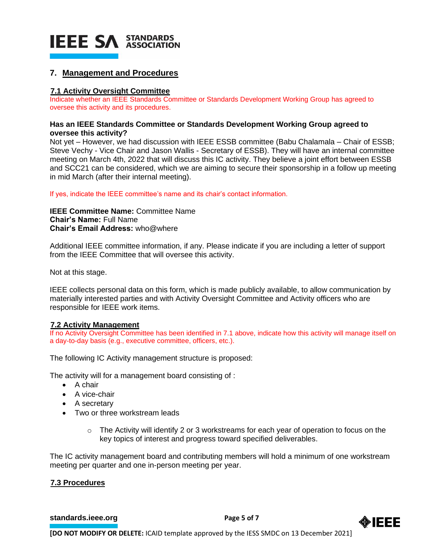

## **7. Management and Procedures**

## **7.1 Activity Oversight Committee**

Indicate whether an IEEE Standards Committee or Standards Development Working Group has agreed to oversee this activity and its procedures.

#### **Has an IEEE Standards Committee or Standards Development Working Group agreed to oversee this activity?**

Not yet – However, we had discussion with IEEE ESSB committee (Babu Chalamala – Chair of ESSB; Steve Vechy - Vice Chair and Jason Wallis - Secretary of ESSB). They will have an internal committee meeting on March 4th, 2022 that will discuss this IC activity. They believe a joint effort between ESSB and SCC21 can be considered, which we are aiming to secure their sponsorship in a follow up meeting in mid March (after their internal meeting).

If yes, indicate the IEEE committee's name and its chair's contact information.

**IEEE Committee Name:** Committee Name **Chair's Name:** Full Name **Chair's Email Address:** who@where

Additional IEEE committee information, if any. Please indicate if you are including a letter of support from the IEEE Committee that will oversee this activity.

Not at this stage.

IEEE collects personal data on this form, which is made publicly available, to allow communication by materially interested parties and with Activity Oversight Committee and Activity officers who are responsible for IEEE work items.

## **7.2 Activity Management**

If no Activity Oversight Committee has been identified in 7.1 above, indicate how this activity will manage itself on a day-to-day basis (e.g., executive committee, officers, etc.).

The following IC Activity management structure is proposed:

The activity will for a management board consisting of :

- A chair
- A vice-chair
- A secretary
- Two or three workstream leads
	- o The Activity will identify 2 or 3 workstreams for each year of operation to focus on the key topics of interest and progress toward specified deliverables.

The IC activity management board and contributing members will hold a minimum of one workstream meeting per quarter and one in-person meeting per year.

## **7.3 Procedures**

#### **[standards.ieee.org](http://standards.ieee.org/)**<br> **Page 5 of 7**

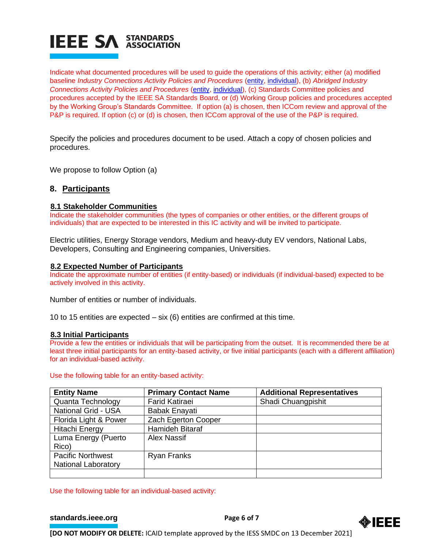

Indicate what documented procedures will be used to guide the operations of this activity; either (a) modified baseline *Industry Connections Activity Policies and Procedures* [\(entity,](https://standards.ieee.org/content/dam/ieee-standards/standards/web/governance/iccom/IC_Activity_PNP_Entity_Baseline.doc) [individual\)](https://standards.ieee.org/content/dam/ieee-standards/standards/web/governance/iccom/IC_Activity_PNP_Individual_Baseline.doc), (b) *Abridged Industry Connections Activity Policies and Procedures* [\(entity,](https://standards.ieee.org/content/dam/ieee-standards/standards/web/governance/iccom/IC_Activity_PP_Abridged_Entity.doc) [individual\)](https://standards.ieee.org/content/dam/ieee-standards/standards/web/governance/iccom/IC_Activity_PP_Abridged_Individual.doc), (c) Standards Committee policies and procedures accepted by the IEEE SA Standards Board, or (d) Working Group policies and procedures accepted by the Working Group's Standards Committee. If option (a) is chosen, then ICCom review and approval of the P&P is required. If option (c) or (d) is chosen, then ICCom approval of the use of the P&P is required.

Specify the policies and procedures document to be used. Attach a copy of chosen policies and procedures.

We propose to follow Option (a)

## **8. Participants**

#### **8.1 Stakeholder Communities**

Indicate the stakeholder communities (the types of companies or other entities, or the different groups of individuals) that are expected to be interested in this IC activity and will be invited to participate.

Electric utilities, Energy Storage vendors, Medium and heavy-duty EV vendors, National Labs, Developers, Consulting and Engineering companies, Universities.

#### **8.2 Expected Number of Participants**

Indicate the approximate number of entities (if entity-based) or individuals (if individual-based) expected to be actively involved in this activity.

Number of entities or number of individuals.

10 to 15 entities are expected – six (6) entities are confirmed at this time.

#### **8.3 Initial Participants**

Provide a few the entities or individuals that will be participating from the outset. It is recommended there be at least three initial participants for an entity-based activity, or five initial participants (each with a different affiliation) for an individual-based activity.

#### Use the following table for an entity-based activity:

| <b>Entity Name</b>         | <b>Primary Contact Name</b> | <b>Additional Representatives</b> |
|----------------------------|-----------------------------|-----------------------------------|
| Quanta Technology          | <b>Farid Katiraei</b>       | Shadi Chuangpishit                |
| <b>National Grid - USA</b> | <b>Babak Enayati</b>        |                                   |
| Florida Light & Power      | Zach Egerton Cooper         |                                   |
| <b>Hitachi Energy</b>      | Hamideh Bitaraf             |                                   |
| Luma Energy (Puerto        | <b>Alex Nassif</b>          |                                   |
| Rico)                      |                             |                                   |
| <b>Pacific Northwest</b>   | <b>Ryan Franks</b>          |                                   |
| <b>National Laboratory</b> |                             |                                   |
|                            |                             |                                   |

Use the following table for an individual-based activity:

**[standards.ieee.org](http://standards.ieee.org/)**<br> **Page 6 of 7**